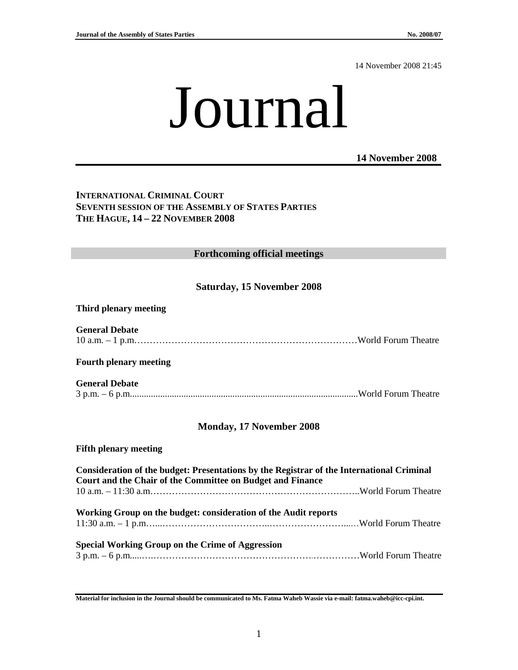14 November 2008 21:45

# Journal

#### **14 November 2008**

## **INTERNATIONAL CRIMINAL COURT SEVENTH SESSION OF THE ASSEMBLY OF STATES PARTIES THE HAGUE, 14 – 22 NOVEMBER 2008**

#### **Forthcoming official meetings**

### **Saturday, 15 November 2008**

#### **Third plenary meeting**

**General Debate**  10 a.m. – 1 p.m………………………………………………………………World Forum Theatre

#### **Fourth plenary meeting**

| <b>General Debate</b> |  |
|-----------------------|--|
|                       |  |

#### **Monday, 17 November 2008**

# **Fifth plenary meeting Consideration of the budget: Presentations by the Registrar of the International Criminal Court and the Chair of the Committee on Budget and Finance**  10 a.m. – 11:30 a.m…………………………………………………………..World Forum Theatre **Working Group on the budget: consideration of the Audit reports**  11:30 a.m. – 1 p.m…...……………………………..……………………...…World Forum Theatre **Special Working Group on the Crime of Aggression**  3 p.m. – 6 p.m.....….…………………………………………….……………World Forum Theatre

**Material for inclusion in the Journal should be communicated to Ms. Fatma Waheb Wassie via e-mail: fatma.waheb@icc-cpi.int.**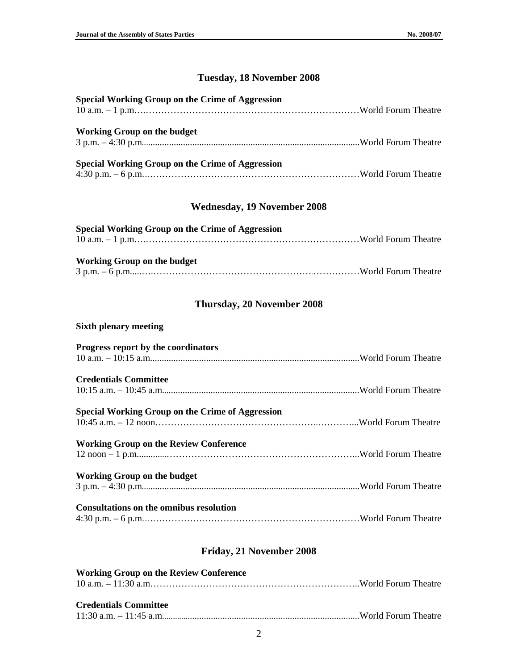# **Tuesday, 18 November 2008**

| Special Working Group on the Crime of Aggression |  |
|--------------------------------------------------|--|
| <b>Working Group on the budget</b>               |  |
| Special Working Group on the Crime of Aggression |  |

# **Wednesday, 19 November 2008**

| Special Working Group on the Crime of Aggression |  |
|--------------------------------------------------|--|
|                                                  |  |
|                                                  |  |
| Working Group on the budget                      |  |
|                                                  |  |
|                                                  |  |

# **Thursday, 20 November 2008**

| <b>Sixth plenary meeting</b>                            |  |
|---------------------------------------------------------|--|
| Progress report by the coordinators                     |  |
|                                                         |  |
| <b>Credentials Committee</b>                            |  |
|                                                         |  |
| <b>Special Working Group on the Crime of Aggression</b> |  |
|                                                         |  |
| <b>Working Group on the Review Conference</b>           |  |
|                                                         |  |
| <b>Working Group on the budget</b>                      |  |
|                                                         |  |
| <b>Consultations on the omnibus resolution</b>          |  |
|                                                         |  |

# **Friday, 21 November 2008**

| <b>Working Group on the Review Conference</b> |  |
|-----------------------------------------------|--|
|                                               |  |
|                                               |  |

# **Credentials Committee**

|--|--|--|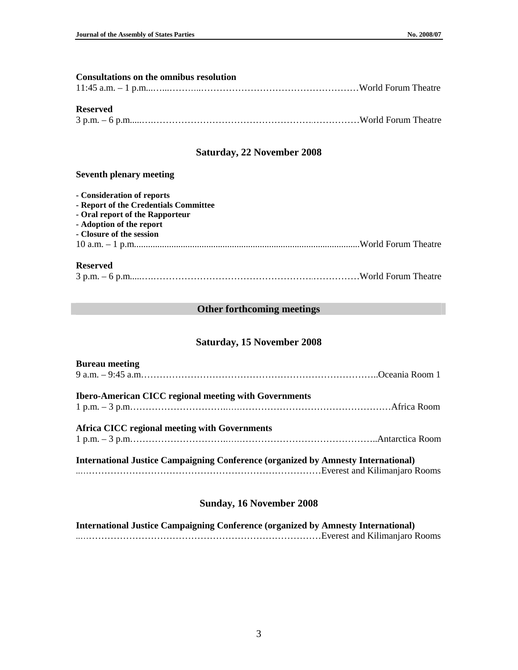| <b>Consultations on the omnibus resolution</b> |  |
|------------------------------------------------|--|
|                                                |  |
|                                                |  |
| <b>Reserved</b>                                |  |
|                                                |  |
| Saturday, 22 November 2008                     |  |
| <b>Seventh plenary meeting</b>                 |  |
| - Consideration of reports                     |  |
| - Report of the Credentials Committee          |  |
| - Oral report of the Rapporteur                |  |

- **Adoption of the report**
- **Closure of the session**

|--|--|--|--|

### **Reserved**

# **Other forthcoming meetings**

# **Saturday, 15 November 2008**

| <b>Bureau meeting</b>                                                                    |  |
|------------------------------------------------------------------------------------------|--|
|                                                                                          |  |
|                                                                                          |  |
| <b>Ibero-American CICC regional meeting with Governments</b>                             |  |
|                                                                                          |  |
|                                                                                          |  |
| Africa CICC regional meeting with Governments                                            |  |
|                                                                                          |  |
|                                                                                          |  |
| <b>International Justice Campaigning Conference (organized by Amnesty International)</b> |  |
|                                                                                          |  |

# **Sunday, 16 November 2008**

| <b>International Justice Campaigning Conference (organized by Amnesty International)</b> |  |
|------------------------------------------------------------------------------------------|--|
|                                                                                          |  |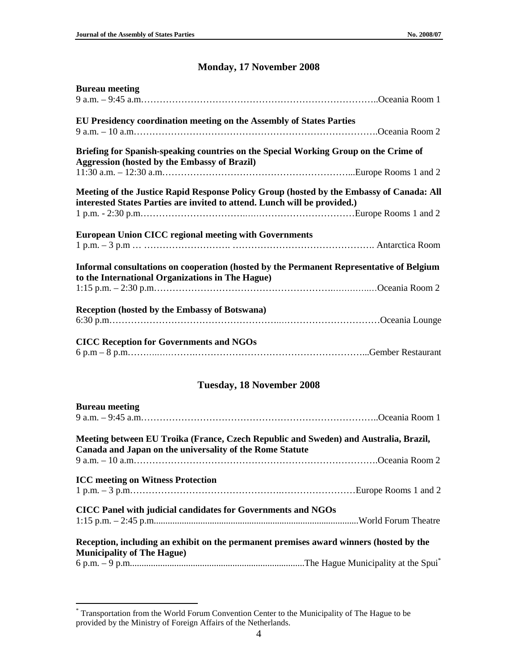# **Monday, 17 November 2008**

| <b>Bureau meeting</b>                                                                                                                                                 |  |
|-----------------------------------------------------------------------------------------------------------------------------------------------------------------------|--|
|                                                                                                                                                                       |  |
| EU Presidency coordination meeting on the Assembly of States Parties                                                                                                  |  |
|                                                                                                                                                                       |  |
| Briefing for Spanish-speaking countries on the Special Working Group on the Crime of<br><b>Aggression (hosted by the Embassy of Brazil)</b>                           |  |
|                                                                                                                                                                       |  |
| Meeting of the Justice Rapid Response Policy Group (hosted by the Embassy of Canada: All<br>interested States Parties are invited to attend. Lunch will be provided.) |  |
|                                                                                                                                                                       |  |
| <b>European Union CICC regional meeting with Governments</b>                                                                                                          |  |
|                                                                                                                                                                       |  |
| Informal consultations on cooperation (hosted by the Permanent Representative of Belgium<br>to the International Organizations in The Hague)                          |  |
|                                                                                                                                                                       |  |
| <b>Reception (hosted by the Embassy of Botswana)</b>                                                                                                                  |  |
|                                                                                                                                                                       |  |
| <b>CICC Reception for Governments and NGOs</b>                                                                                                                        |  |
|                                                                                                                                                                       |  |

# **Tuesday, 18 November 2008**

| <b>Bureau meeting</b>                                                                                                                            |  |
|--------------------------------------------------------------------------------------------------------------------------------------------------|--|
|                                                                                                                                                  |  |
| Meeting between EU Troika (France, Czech Republic and Sweden) and Australia, Brazil,<br>Canada and Japan on the universality of the Rome Statute |  |
|                                                                                                                                                  |  |
| <b>ICC</b> meeting on Witness Protection                                                                                                         |  |
|                                                                                                                                                  |  |
| CICC Panel with judicial candidates for Governments and NGOs                                                                                     |  |
|                                                                                                                                                  |  |
| Reception, including an exhibit on the permanent premises award winners (hosted by the<br><b>Municipality of The Hague)</b>                      |  |
|                                                                                                                                                  |  |

 \* Transportation from the World Forum Convention Center to the Municipality of The Hague to be provided by the Ministry of Foreign Affairs of the Netherlands.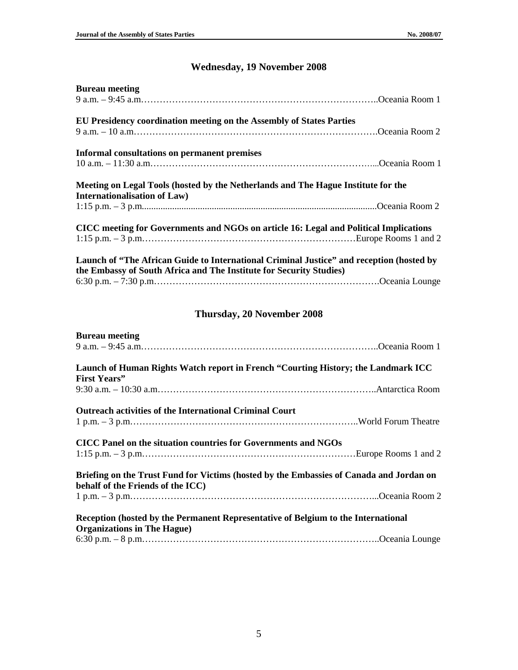# **Wednesday, 19 November 2008**

| <b>Bureau meeting</b>                                                                                                                                           |  |
|-----------------------------------------------------------------------------------------------------------------------------------------------------------------|--|
|                                                                                                                                                                 |  |
| EU Presidency coordination meeting on the Assembly of States Parties                                                                                            |  |
|                                                                                                                                                                 |  |
| <b>Informal consultations on permanent premises</b>                                                                                                             |  |
|                                                                                                                                                                 |  |
| Meeting on Legal Tools (hosted by the Netherlands and The Hague Institute for the<br><b>Internationalisation of Law)</b>                                        |  |
|                                                                                                                                                                 |  |
| CICC meeting for Governments and NGOs on article 16: Legal and Political Implications                                                                           |  |
|                                                                                                                                                                 |  |
| Launch of "The African Guide to International Criminal Justice" and reception (hosted by<br>the Embassy of South Africa and The Institute for Security Studies) |  |
|                                                                                                                                                                 |  |

# **Thursday, 20 November 2008**

| <b>Bureau meeting</b>                                                                                                        |  |
|------------------------------------------------------------------------------------------------------------------------------|--|
|                                                                                                                              |  |
| Launch of Human Rights Watch report in French "Courting History; the Landmark ICC                                            |  |
| <b>First Years</b> "                                                                                                         |  |
|                                                                                                                              |  |
| <b>Outreach activities of the International Criminal Court</b>                                                               |  |
|                                                                                                                              |  |
| CICC Panel on the situation countries for Governments and NGOs                                                               |  |
|                                                                                                                              |  |
| Briefing on the Trust Fund for Victims (hosted by the Embassies of Canada and Jordan on<br>behalf of the Friends of the ICC) |  |
|                                                                                                                              |  |
| Reception (hosted by the Permanent Representative of Belgium to the International                                            |  |
| <b>Organizations in The Hague)</b>                                                                                           |  |
|                                                                                                                              |  |